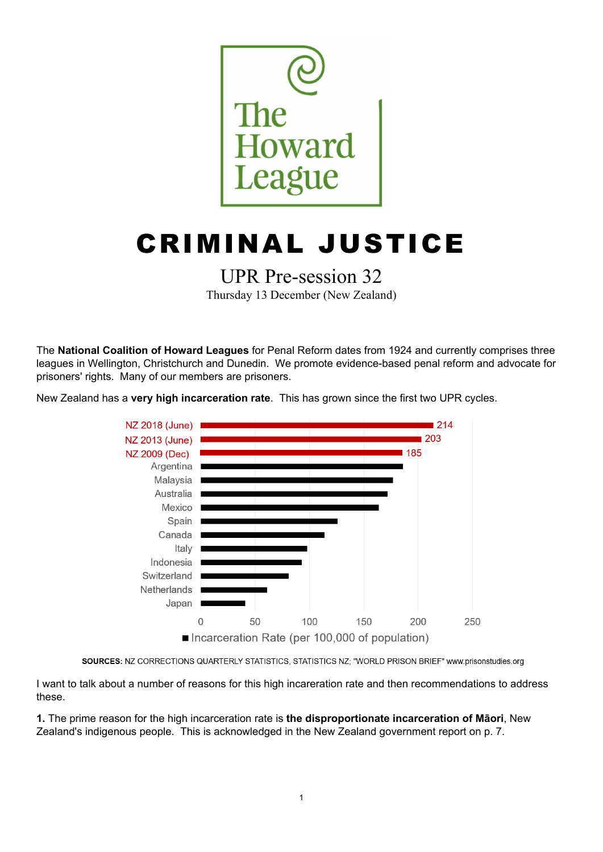

# CRIMINAL JUSTICE

## UPR Pre-session 32

Thursday 13 December (New Zealand)

The **National Coalition of Howard Leagues** for Penal Reform dates from 1924 and currently comprises three leagues in Wellington, Christchurch and Dunedin. We promote evidence-based penal reform and advocate for prisoners' rights. Many of our members are prisoners.

New Zealand has a **very high incarceration rate**. This has grown since the first two UPR cycles.



SOURCES: NZ CORRECTIONS QUARTERLY STATISTICS, STATISTICS NZ; "WORLD PRISON BRIEF" www.prisonstudies.org

I want to talk about a number of reasons for this high incareration rate and then recommendations to address these.

**1.** The prime reason for the high incarceration rate is **the disproportionate incarceration of Māori**, New Zealand's indigenous people. This is acknowledged in the New Zealand government report on p. 7.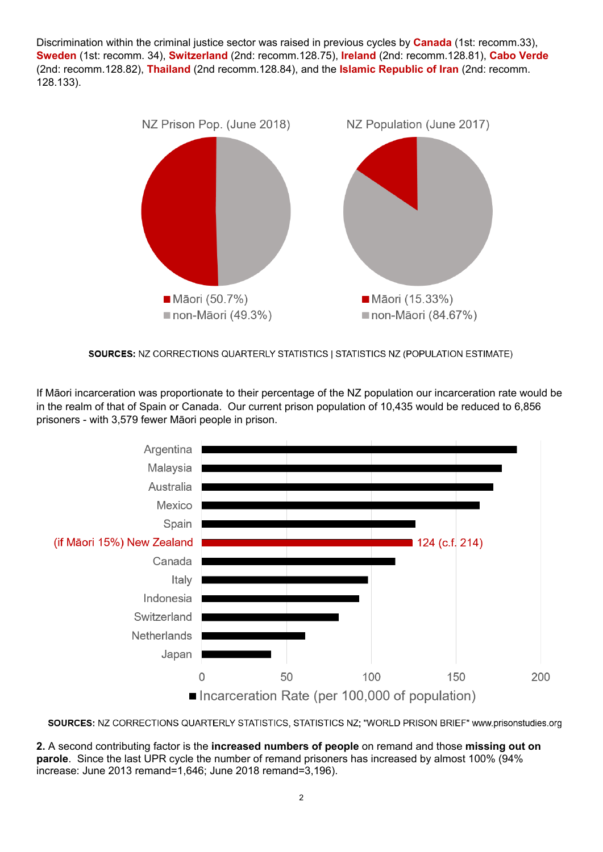Discrimination within the criminal justice sector was raised in previous cycles by **Canada** (1st: recomm.33), **Sweden** (1st: recomm. 34), **Switzerland** (2nd: recomm.128.75), **Ireland** (2nd: recomm.128.81), **Cabo Verde** (2nd: recomm.128.82), **Thailand** (2nd recomm.128.84), and the **Islamic Republic of Iran** (2nd: recomm. 128.133).



SOURCES: NZ CORRECTIONS QUARTERLY STATISTICS | STATISTICS NZ (POPULATION ESTIMATE)

If Māori incarceration was proportionate to their percentage of the NZ population our incarceration rate would be in the realm of that of Spain or Canada. Our current prison population of 10,435 would be reduced to 6,856 prisoners - with 3,579 fewer Māori people in prison.



SOURCES: NZ CORRECTIONS QUARTERLY STATISTICS, STATISTICS NZ; "WORLD PRISON BRIEF" www.prisonstudies.org

**2.** A second contributing factor is the **increased numbers of people** on remand and those **missing out on parole**. Since the last UPR cycle the number of remand prisoners has increased by almost 100% (94% increase: June 2013 remand=1,646; June 2018 remand=3,196).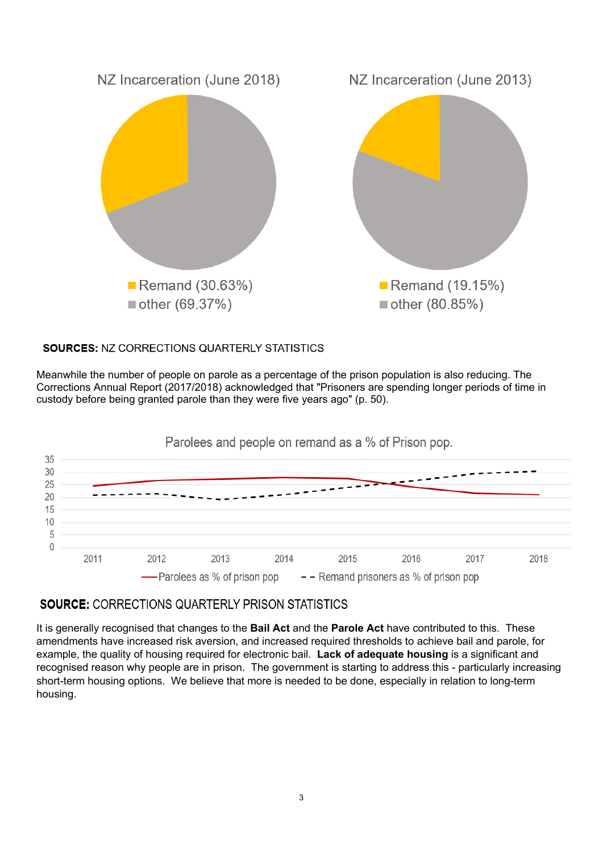

## SOURCES: NZ CORRECTIONS QUARTERLY STATISTICS

Meanwhile the number of people on parole as a percentage of the prison population is also reducing. The Corrections Annual Report (2017/2018) acknowledged that "Prisoners are spending longer periods of time in custody before being granted parole than they were five years ago" (p. 50).



## **SOURCE: CORRECTIONS QUARTERLY PRISON STATISTICS**

It is generally recognised that changes to the **Bail Act** and the **Parole Act** have contributed to this. These amendments have increased risk aversion, and increased required thresholds to achieve bail and parole, for example, the quality of housing required for electronic bail. **Lack of adequate housing** is a significant and recognised reason why people are in prison. The government is starting to address this - particularly increasing short-term housing options. We believe that more is needed to be done, especially in relation to long-term housing.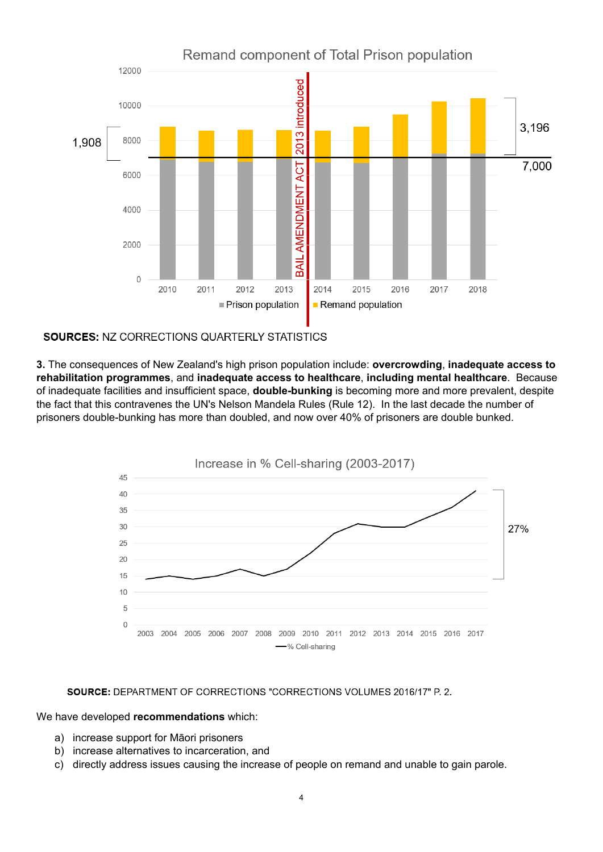

### **SOURCES: NZ CORRECTIONS QUARTERLY STATISTICS**

**3.** The consequences of New Zealand's high prison population include: **overcrowding**, **inadequate access to rehabilitation programmes**, and **inadequate access to healthcare**, **including mental healthcare**. Because of inadequate facilities and insufficient space, **double-bunking** is becoming more and more prevalent, despite the fact that this contravenes the UN's Nelson Mandela Rules (Rule 12). In the last decade the number of prisoners double-bunking has more than doubled, and now over 40% of prisoners are double bunked.



#### SOURCE: DEPARTMENT OF CORRECTIONS "CORRECTIONS VOLUMES 2016/17" P. 2.

#### We have developed **recommendations** which:

- a) increase support for Māori prisoners
- b) increase alternatives to incarceration, and
- c) directly address issues causing the increase of people on remand and unable to gain parole.